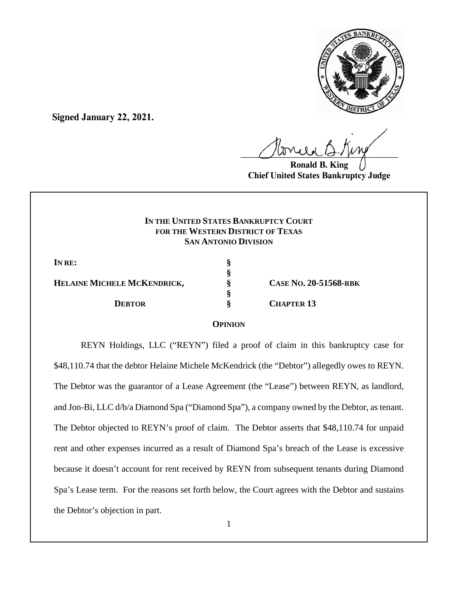

**Signed January 22, 2021.**

 $U^{WVWW}$ 

**Ronald B. King Chief United States Bankruptcy Judge**

# **IN THE UNITED STATES BANKRUPTCY COURT FOR THE WESTERN DISTRICT OF TEXAS SAN ANTONIO DIVISION**

**IN RE: § § HELAINE MICHELE MCKENDRICK, § CASE NO. 20-51568-RBK § DEBTOR § CHAPTER 13** 

### **OPINION**

REYN Holdings, LLC ("REYN") filed a proof of claim in this bankruptcy case for \$48,110.74 that the debtor Helaine Michele McKendrick (the "Debtor") allegedly owes to REYN. The Debtor was the guarantor of a Lease Agreement (the "Lease") between REYN, as landlord, and Jon-Bi, LLC d/b/a Diamond Spa ("Diamond Spa"), a company owned by the Debtor, as tenant. The Debtor objected to REYN's proof of claim. The Debtor asserts that \$48,110.74 for unpaid rent and other expenses incurred as a result of Diamond Spa's breach of the Lease is excessive because it doesn't account for rent received by REYN from subsequent tenants during Diamond Spa's Lease term. For the reasons set forth below, the Court agrees with the Debtor and sustains the Debtor's objection in part.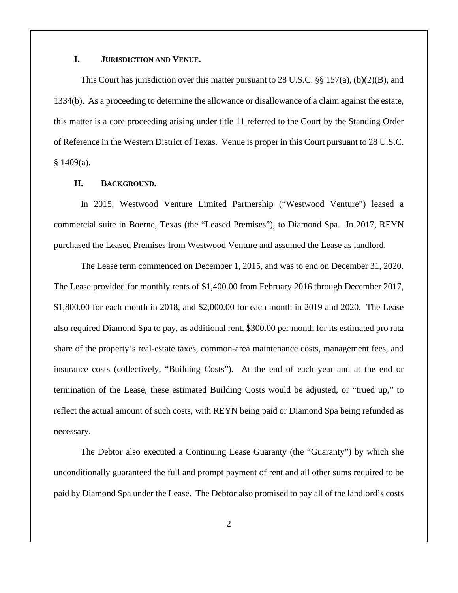## **I. JURISDICTION AND VENUE.**

This Court has jurisdiction over this matter pursuant to 28 U.S.C. §§ 157(a), (b)(2)(B), and 1334(b). As a proceeding to determine the allowance or disallowance of a claim against the estate, this matter is a core proceeding arising under title 11 referred to the Court by the Standing Order of Reference in the Western District of Texas. Venue is proper in this Court pursuant to 28 U.S.C.  $§ 1409(a).$ 

### **II. BACKGROUND.**

In 2015, Westwood Venture Limited Partnership ("Westwood Venture") leased a commercial suite in Boerne, Texas (the "Leased Premises"), to Diamond Spa. In 2017, REYN purchased the Leased Premises from Westwood Venture and assumed the Lease as landlord.

The Lease term commenced on December 1, 2015, and was to end on December 31, 2020. The Lease provided for monthly rents of \$1,400.00 from February 2016 through December 2017, \$1,800.00 for each month in 2018, and \$2,000.00 for each month in 2019 and 2020. The Lease also required Diamond Spa to pay, as additional rent, \$300.00 per month for its estimated pro rata share of the property's real-estate taxes, common-area maintenance costs, management fees, and insurance costs (collectively, "Building Costs"). At the end of each year and at the end or termination of the Lease, these estimated Building Costs would be adjusted, or "trued up," to reflect the actual amount of such costs, with REYN being paid or Diamond Spa being refunded as necessary.

The Debtor also executed a Continuing Lease Guaranty (the "Guaranty") by which she unconditionally guaranteed the full and prompt payment of rent and all other sums required to be paid by Diamond Spa under the Lease. The Debtor also promised to pay all of the landlord's costs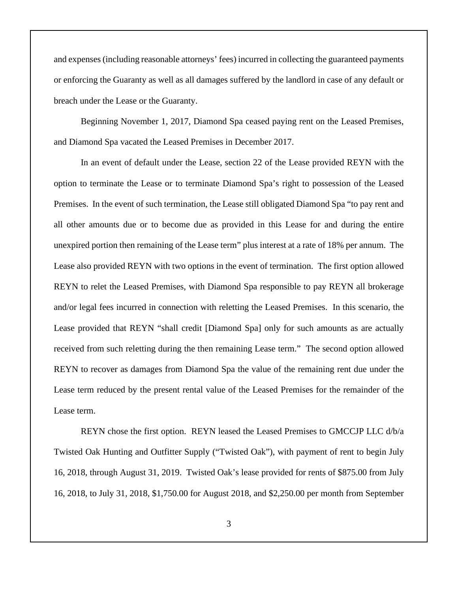and expenses (including reasonable attorneys' fees) incurred in collecting the guaranteed payments or enforcing the Guaranty as well as all damages suffered by the landlord in case of any default or breach under the Lease or the Guaranty.

Beginning November 1, 2017, Diamond Spa ceased paying rent on the Leased Premises, and Diamond Spa vacated the Leased Premises in December 2017.

In an event of default under the Lease, section 22 of the Lease provided REYN with the option to terminate the Lease or to terminate Diamond Spa's right to possession of the Leased Premises. In the event of such termination, the Lease still obligated Diamond Spa "to pay rent and all other amounts due or to become due as provided in this Lease for and during the entire unexpired portion then remaining of the Lease term" plus interest at a rate of 18% per annum. The Lease also provided REYN with two options in the event of termination. The first option allowed REYN to relet the Leased Premises, with Diamond Spa responsible to pay REYN all brokerage and/or legal fees incurred in connection with reletting the Leased Premises. In this scenario, the Lease provided that REYN "shall credit [Diamond Spa] only for such amounts as are actually received from such reletting during the then remaining Lease term." The second option allowed REYN to recover as damages from Diamond Spa the value of the remaining rent due under the Lease term reduced by the present rental value of the Leased Premises for the remainder of the Lease term.

REYN chose the first option. REYN leased the Leased Premises to GMCCJP LLC d/b/a Twisted Oak Hunting and Outfitter Supply ("Twisted Oak"), with payment of rent to begin July 16, 2018, through August 31, 2019. Twisted Oak's lease provided for rents of \$875.00 from July 16, 2018, to July 31, 2018, \$1,750.00 for August 2018, and \$2,250.00 per month from September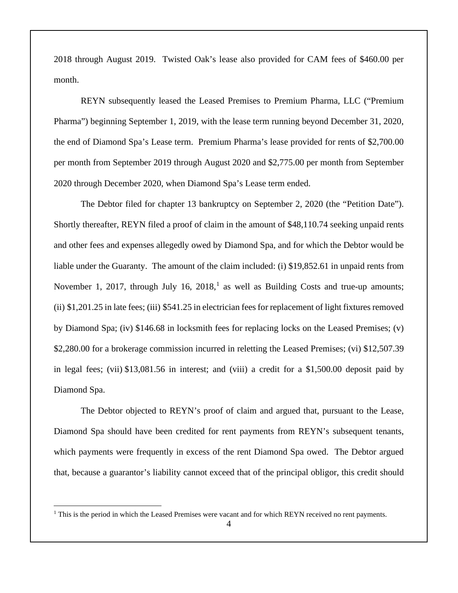2018 through August 2019. Twisted Oak's lease also provided for CAM fees of \$460.00 per month.

REYN subsequently leased the Leased Premises to Premium Pharma, LLC ("Premium Pharma") beginning September 1, 2019, with the lease term running beyond December 31, 2020, the end of Diamond Spa's Lease term. Premium Pharma's lease provided for rents of \$2,700.00 per month from September 2019 through August 2020 and \$2,775.00 per month from September 2020 through December 2020, when Diamond Spa's Lease term ended.

The Debtor filed for chapter 13 bankruptcy on September 2, 2020 (the "Petition Date"). Shortly thereafter, REYN filed a proof of claim in the amount of \$48,110.74 seeking unpaid rents and other fees and expenses allegedly owed by Diamond Spa, and for which the Debtor would be liable under the Guaranty. The amount of the claim included: (i) \$19,852.61 in unpaid rents from November [1](#page-3-0), 2017, through July 16, 2018,<sup>1</sup> as well as Building Costs and true-up amounts; (ii) \$1,201.25 in late fees; (iii) \$541.25 in electrician fees for replacement of light fixtures removed by Diamond Spa; (iv) \$146.68 in locksmith fees for replacing locks on the Leased Premises; (v) \$2,280.00 for a brokerage commission incurred in reletting the Leased Premises; (vi) \$12,507.39 in legal fees; (vii) \$13,081.56 in interest; and (viii) a credit for a \$1,500.00 deposit paid by Diamond Spa.

The Debtor objected to REYN's proof of claim and argued that, pursuant to the Lease, Diamond Spa should have been credited for rent payments from REYN's subsequent tenants, which payments were frequently in excess of the rent Diamond Spa owed. The Debtor argued that, because a guarantor's liability cannot exceed that of the principal obligor, this credit should

<span id="page-3-0"></span> $1$  This is the period in which the Leased Premises were vacant and for which REYN received no rent payments.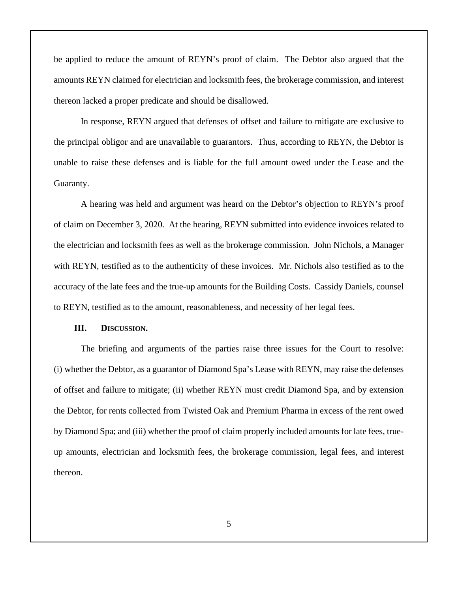be applied to reduce the amount of REYN's proof of claim. The Debtor also argued that the amounts REYN claimed for electrician and locksmith fees, the brokerage commission, and interest thereon lacked a proper predicate and should be disallowed.

In response, REYN argued that defenses of offset and failure to mitigate are exclusive to the principal obligor and are unavailable to guarantors. Thus, according to REYN, the Debtor is unable to raise these defenses and is liable for the full amount owed under the Lease and the Guaranty.

A hearing was held and argument was heard on the Debtor's objection to REYN's proof of claim on December 3, 2020. At the hearing, REYN submitted into evidence invoices related to the electrician and locksmith fees as well as the brokerage commission. John Nichols, a Manager with REYN, testified as to the authenticity of these invoices. Mr. Nichols also testified as to the accuracy of the late fees and the true-up amounts for the Building Costs. Cassidy Daniels, counsel to REYN, testified as to the amount, reasonableness, and necessity of her legal fees.

### **III. DISCUSSION.**

The briefing and arguments of the parties raise three issues for the Court to resolve: (i) whether the Debtor, as a guarantor of Diamond Spa's Lease with REYN, may raise the defenses of offset and failure to mitigate; (ii) whether REYN must credit Diamond Spa, and by extension the Debtor, for rents collected from Twisted Oak and Premium Pharma in excess of the rent owed by Diamond Spa; and (iii) whether the proof of claim properly included amounts for late fees, trueup amounts, electrician and locksmith fees, the brokerage commission, legal fees, and interest thereon.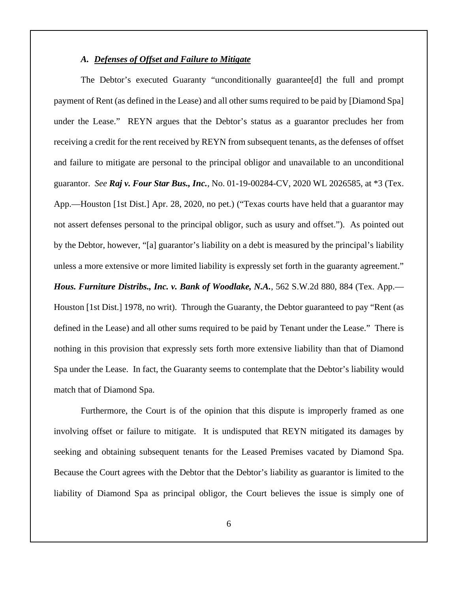### *A. Defenses of Offset and Failure to Mitigate*

match that of Diamond Spa.

The Debtor's executed Guaranty "unconditionally guarantee[d] the full and prompt payment of Rent (as defined in the Lease) and all other sums required to be paid by [Diamond Spa] under the Lease." REYN argues that the Debtor's status as a guarantor precludes her from receiving a credit for the rent received by REYN from subsequent tenants, as the defenses of offset and failure to mitigate are personal to the principal obligor and unavailable to an unconditional guarantor. *See Raj v. Four Star Bus., Inc.*, No. 01-19-00284-CV, 2020 WL 2026585, at \*3 (Tex. App.—Houston [1st Dist.] Apr. 28, 2020, no pet.) ("Texas courts have held that a guarantor may not assert defenses personal to the principal obligor, such as usury and offset."). As pointed out by the Debtor, however, "[a] guarantor's liability on a debt is measured by the principal's liability unless a more extensive or more limited liability is expressly set forth in the guaranty agreement." *Hous. Furniture Distribs., Inc. v. Bank of Woodlake, N.A.*, 562 S.W.2d 880, 884 (Tex. App.— Houston [1st Dist.] 1978, no writ). Through the Guaranty, the Debtor guaranteed to pay "Rent (as defined in the Lease) and all other sums required to be paid by Tenant under the Lease." There is nothing in this provision that expressly sets forth more extensive liability than that of Diamond Spa under the Lease. In fact, the Guaranty seems to contemplate that the Debtor's liability would

Furthermore, the Court is of the opinion that this dispute is improperly framed as one involving offset or failure to mitigate. It is undisputed that REYN mitigated its damages by seeking and obtaining subsequent tenants for the Leased Premises vacated by Diamond Spa. Because the Court agrees with the Debtor that the Debtor's liability as guarantor is limited to the liability of Diamond Spa as principal obligor, the Court believes the issue is simply one of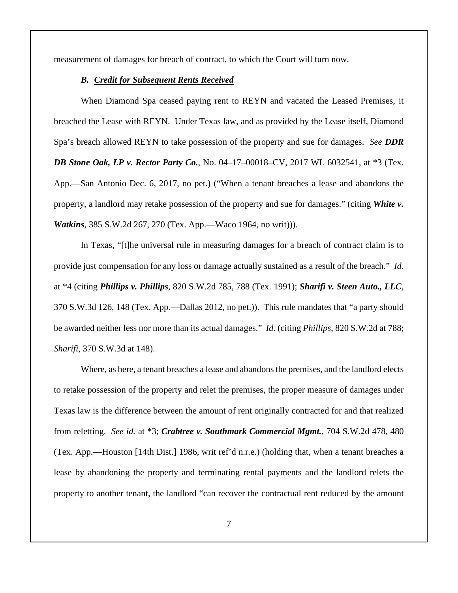measurement of damages for breach of contract, to which the Court will turn now.

### *B. Credit for Subsequent Rents Received*

When Diamond Spa ceased paying rent to REYN and vacated the Leased Premises, it breached the Lease with REYN. Under Texas law, and as provided by the Lease itself, Diamond Spa's breach allowed REYN to take possession of the property and sue for damages. *See DDR DB Stone Oak, LP v. Rector Party Co.*, No. 04–17–00018–CV, 2017 WL 6032541, at \*3 (Tex. App.—San Antonio Dec. 6, 2017, no pet.) ("When a tenant breaches a lease and abandons the property, a landlord may retake possession of the property and sue for damages." (citing *White v. Watkins*, 385 S.W.2d 267, 270 (Tex. App.—Waco 1964, no writ))).

In Texas, "[t]he universal rule in measuring damages for a breach of contract claim is to provide just compensation for any loss or damage actually sustained as a result of the breach." *Id.* at \*4 (citing *Phillips v. Phillips*, 820 S.W.2d 785, 788 (Tex. 1991); *Sharifi v. Steen Auto., LLC*, 370 S.W.3d 126, 148 (Tex. App.—Dallas 2012, no pet.)). This rule mandates that "a party should be awarded neither less nor more than its actual damages." *Id.* (citing *Phillips*, 820 S.W.2d at 788; *Sharifi*, 370 S.W.3d at 148).

Where, as here, a tenant breaches a lease and abandons the premises, and the landlord elects to retake possession of the property and relet the premises, the proper measure of damages under Texas law is the difference between the amount of rent originally contracted for and that realized from reletting. *See id.* at \*3; *Crabtree v. Southmark Commercial Mgmt.*, 704 S.W.2d 478, 480 (Tex. App.—Houston [14th Dist.] 1986, writ ref'd n.r.e.) (holding that, when a tenant breaches a lease by abandoning the property and terminating rental payments and the landlord relets the property to another tenant, the landlord "can recover the contractual rent reduced by the amount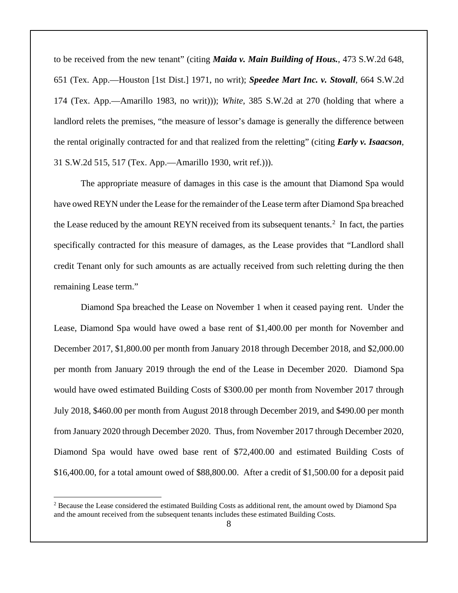to be received from the new tenant" (citing *Maida v. Main Building of Hous.*, 473 S.W.2d 648, 651 (Tex. App.—Houston [1st Dist.] 1971, no writ); *Speedee Mart Inc. v. Stovall*, 664 S.W.2d 174 (Tex. App.—Amarillo 1983, no writ))); *White*, 385 S.W.2d at 270 (holding that where a landlord relets the premises, "the measure of lessor's damage is generally the difference between the rental originally contracted for and that realized from the reletting" (citing *Early v. Isaacson*, 31 S.W.2d 515, 517 (Tex. App.—Amarillo 1930, writ ref.))).

The appropriate measure of damages in this case is the amount that Diamond Spa would have owed REYN under the Lease for the remainder of the Lease term after Diamond Spa breached the Lease reduced by the amount REYN received from its subsequent tenants.<sup>[2](#page-7-0)</sup> In fact, the parties specifically contracted for this measure of damages, as the Lease provides that "Landlord shall credit Tenant only for such amounts as are actually received from such reletting during the then remaining Lease term."

Diamond Spa breached the Lease on November 1 when it ceased paying rent. Under the Lease, Diamond Spa would have owed a base rent of \$1,400.00 per month for November and December 2017, \$1,800.00 per month from January 2018 through December 2018, and \$2,000.00 per month from January 2019 through the end of the Lease in December 2020. Diamond Spa would have owed estimated Building Costs of \$300.00 per month from November 2017 through July 2018, \$460.00 per month from August 2018 through December 2019, and \$490.00 per month from January 2020 through December 2020. Thus, from November 2017 through December 2020, Diamond Spa would have owed base rent of \$72,400.00 and estimated Building Costs of \$16,400.00, for a total amount owed of \$88,800.00. After a credit of \$1,500.00 for a deposit paid

<span id="page-7-0"></span><sup>2</sup> Because the Lease considered the estimated Building Costs as additional rent, the amount owed by Diamond Spa and the amount received from the subsequent tenants includes these estimated Building Costs.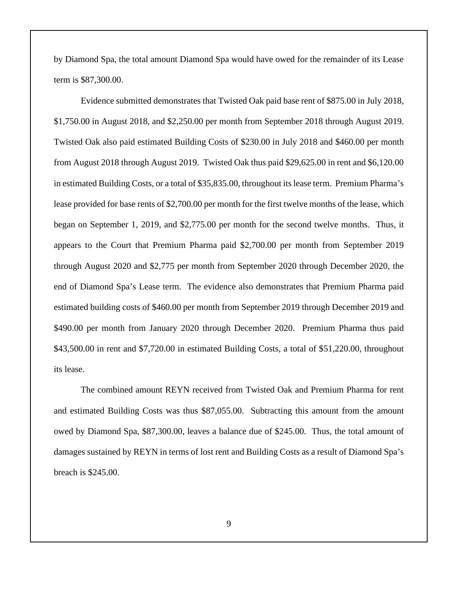by Diamond Spa, the total amount Diamond Spa would have owed for the remainder of its Lease term is \$87,300.00.

Evidence submitted demonstrates that Twisted Oak paid base rent of \$875.00 in July 2018, \$1,750.00 in August 2018, and \$2,250.00 per month from September 2018 through August 2019. Twisted Oak also paid estimated Building Costs of \$230.00 in July 2018 and \$460.00 per month from August 2018 through August 2019. Twisted Oak thus paid \$29,625.00 in rent and \$6,120.00 in estimated Building Costs, or a total of \$35,835.00, throughout its lease term.Premium Pharma's lease provided for base rents of \$2,700.00 per month for the first twelve months of the lease, which began on September 1, 2019, and \$2,775.00 per month for the second twelve months. Thus, it appears to the Court that Premium Pharma paid \$2,700.00 per month from September 2019 through August 2020 and \$2,775 per month from September 2020 through December 2020, the end of Diamond Spa's Lease term. The evidence also demonstrates that Premium Pharma paid estimated building costs of \$460.00 per month from September 2019 through December 2019 and \$490.00 per month from January 2020 through December 2020. Premium Pharma thus paid \$43,500.00 in rent and \$7,720.00 in estimated Building Costs, a total of \$51,220.00, throughout its lease.

The combined amount REYN received from Twisted Oak and Premium Pharma for rent and estimated Building Costs was thus \$87,055.00. Subtracting this amount from the amount owed by Diamond Spa, \$87,300.00, leaves a balance due of \$245.00. Thus, the total amount of damages sustained by REYN in terms of lost rent and Building Costs as a result of Diamond Spa's breach is \$245.00.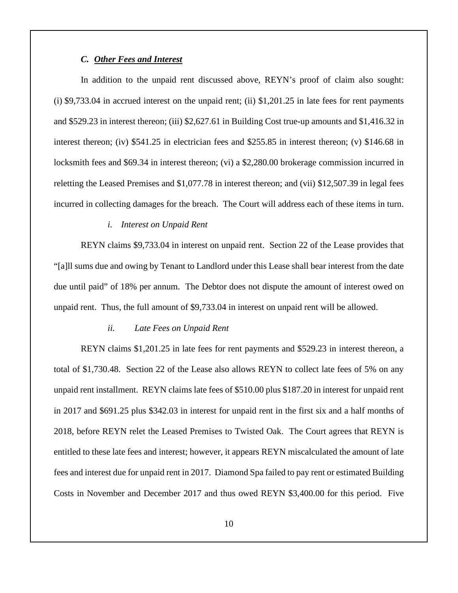## *C. Other Fees and Interest*

In addition to the unpaid rent discussed above, REYN's proof of claim also sought: (i) \$9,733.04 in accrued interest on the unpaid rent; (ii) \$1,201.25 in late fees for rent payments and \$529.23 in interest thereon; (iii) \$2,627.61 in Building Cost true-up amounts and \$1,416.32 in interest thereon; (iv) \$541.25 in electrician fees and \$255.85 in interest thereon; (v) \$146.68 in locksmith fees and \$69.34 in interest thereon; (vi) a \$2,280.00 brokerage commission incurred in reletting the Leased Premises and \$1,077.78 in interest thereon; and (vii) \$12,507.39 in legal fees incurred in collecting damages for the breach. The Court will address each of these items in turn.

### *i. Interest on Unpaid Rent*

REYN claims \$9,733.04 in interest on unpaid rent. Section 22 of the Lease provides that "[a]ll sums due and owing by Tenant to Landlord under this Lease shall bear interest from the date due until paid" of 18% per annum. The Debtor does not dispute the amount of interest owed on unpaid rent. Thus, the full amount of \$9,733.04 in interest on unpaid rent will be allowed.

#### *ii. Late Fees on Unpaid Rent*

REYN claims \$1,201.25 in late fees for rent payments and \$529.23 in interest thereon, a total of \$1,730.48. Section 22 of the Lease also allows REYN to collect late fees of 5% on any unpaid rent installment. REYN claims late fees of \$510.00 plus \$187.20 in interest for unpaid rent in 2017 and \$691.25 plus \$342.03 in interest for unpaid rent in the first six and a half months of 2018, before REYN relet the Leased Premises to Twisted Oak. The Court agrees that REYN is entitled to these late fees and interest; however, it appears REYN miscalculated the amount of late fees and interest due for unpaid rent in 2017. Diamond Spa failed to pay rent or estimated Building Costs in November and December 2017 and thus owed REYN \$3,400.00 for this period. Five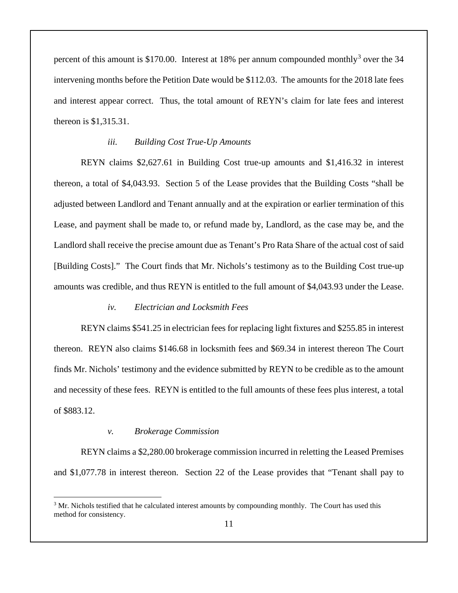percent of this amount is \$170.00. Interest at 18% per annum compounded monthly<sup>[3](#page-10-0)</sup> over the 34 intervening months before the Petition Date would be \$112.03. The amounts for the 2018 late fees and interest appear correct. Thus, the total amount of REYN's claim for late fees and interest thereon is \$1,315.31.

### *iii. Building Cost True-Up Amounts*

REYN claims \$2,627.61 in Building Cost true-up amounts and \$1,416.32 in interest thereon, a total of \$4,043.93. Section 5 of the Lease provides that the Building Costs "shall be adjusted between Landlord and Tenant annually and at the expiration or earlier termination of this Lease, and payment shall be made to, or refund made by, Landlord, as the case may be, and the Landlord shall receive the precise amount due as Tenant's Pro Rata Share of the actual cost of said [Building Costs]." The Court finds that Mr. Nichols's testimony as to the Building Cost true-up amounts was credible, and thus REYN is entitled to the full amount of \$4,043.93 under the Lease.

#### *iv. Electrician and Locksmith Fees*

REYN claims \$541.25 in electrician fees for replacing light fixtures and \$255.85 in interest thereon. REYN also claims \$146.68 in locksmith fees and \$69.34 in interest thereon The Court finds Mr. Nichols' testimony and the evidence submitted by REYN to be credible as to the amount and necessity of these fees. REYN is entitled to the full amounts of these fees plus interest, a total of \$883.12.

#### *v. Brokerage Commission*

REYN claims a \$2,280.00 brokerage commission incurred in reletting the Leased Premises and \$1,077.78 in interest thereon. Section 22 of the Lease provides that "Tenant shall pay to

<span id="page-10-0"></span> $3$  Mr. Nichols testified that he calculated interest amounts by compounding monthly. The Court has used this method for consistency.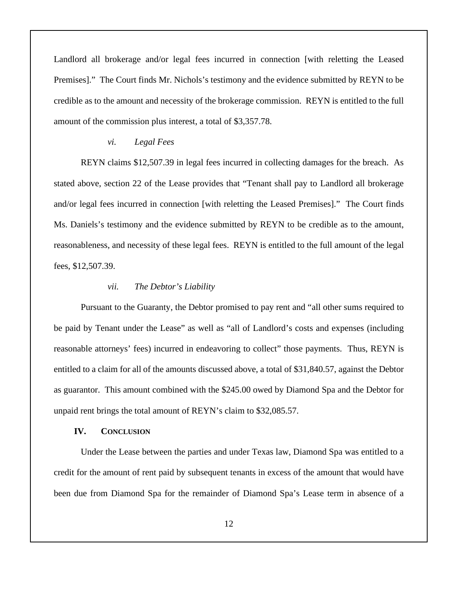Landlord all brokerage and/or legal fees incurred in connection [with reletting the Leased Premises]." The Court finds Mr. Nichols's testimony and the evidence submitted by REYN to be credible as to the amount and necessity of the brokerage commission. REYN is entitled to the full amount of the commission plus interest, a total of \$3,357.78.

### *vi. Legal Fees*

REYN claims \$12,507.39 in legal fees incurred in collecting damages for the breach. As stated above, section 22 of the Lease provides that "Tenant shall pay to Landlord all brokerage and/or legal fees incurred in connection [with reletting the Leased Premises]." The Court finds Ms. Daniels's testimony and the evidence submitted by REYN to be credible as to the amount, reasonableness, and necessity of these legal fees. REYN is entitled to the full amount of the legal fees, \$12,507.39.

### *vii. The Debtor's Liability*

Pursuant to the Guaranty, the Debtor promised to pay rent and "all other sums required to be paid by Tenant under the Lease" as well as "all of Landlord's costs and expenses (including reasonable attorneys' fees) incurred in endeavoring to collect" those payments. Thus, REYN is entitled to a claim for all of the amounts discussed above, a total of \$31,840.57, against the Debtor as guarantor. This amount combined with the \$245.00 owed by Diamond Spa and the Debtor for unpaid rent brings the total amount of REYN's claim to \$32,085.57.

### **IV. CONCLUSION**

Under the Lease between the parties and under Texas law, Diamond Spa was entitled to a credit for the amount of rent paid by subsequent tenants in excess of the amount that would have been due from Diamond Spa for the remainder of Diamond Spa's Lease term in absence of a